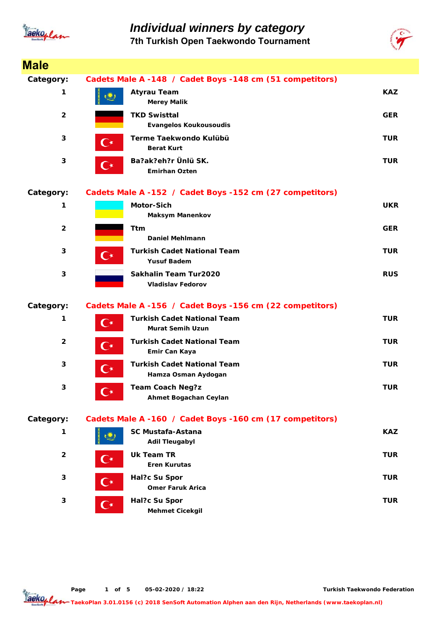

### *Individual winners by category* **7th Turkish Open Taekwondo Tournament**



| <b>Male</b>             |                      |                                                               |            |
|-------------------------|----------------------|---------------------------------------------------------------|------------|
| Category:               |                      | Cadets Male A -148 / Cadet Boys -148 cm (51 competitors)      |            |
| 1                       |                      | <b>Atyrau Team</b><br><b>Merey Malik</b>                      | <b>KAZ</b> |
| $\overline{\mathbf{2}}$ |                      | <b>TKD Swisttal</b><br><b>Evangelos Koukousoudis</b>          | <b>GER</b> |
| 3                       | $\mathbf{C}^\star$   | Terme Taekwondo Kulübü<br><b>Berat Kurt</b>                   | <b>TUR</b> |
| 3                       | $\mathbf{C}^\star$   | Ba?ak?eh?r Ünlü SK.<br><b>Emirhan Ozten</b>                   | <b>TUR</b> |
| Category:               |                      | Cadets Male A -152 / Cadet Boys -152 cm (27 competitors)      |            |
| 1                       |                      | <b>Motor-Sich</b><br><b>Maksym Manenkov</b>                   | <b>UKR</b> |
| $\overline{2}$          |                      | Ttm<br><b>Daniel Mehlmann</b>                                 | <b>GER</b> |
| 3                       | $\mathbf{C}^\star$   | <b>Turkish Cadet National Team</b><br><b>Yusuf Badem</b>      | <b>TUR</b> |
| 3                       |                      | Sakhalin Team Tur2020<br><b>Vladislav Fedorov</b>             | <b>RUS</b> |
| Category:               |                      | Cadets Male A -156 / Cadet Boys -156 cm (22 competitors)      |            |
| 1                       | $\mathbf{C}^{\star}$ | <b>Turkish Cadet National Team</b><br><b>Murat Semih Uzun</b> | <b>TUR</b> |
| $\mathbf{2}$            | $\mathsf{C}^\star$   | <b>Turkish Cadet National Team</b><br>Emir Can Kaya           | <b>TUR</b> |
| 3                       | C∗                   | <b>Turkish Cadet National Team</b><br>Hamza Osman Aydogan     | <b>TUR</b> |
| 3                       | $\mathbf{C}^{\star}$ | <b>Team Coach Neg?z</b><br>Ahmet Bogachan Ceylan              | <b>TUR</b> |
| Category:               |                      | Cadets Male A -160 / Cadet Boys -160 cm (17 competitors)      |            |
| 1                       |                      | SC Mustafa-Astana<br><b>Adil Tleugabyl</b>                    | <b>KAZ</b> |
| $\overline{2}$          | C∗                   | Uk Team TR<br><b>Eren Kurutas</b>                             | <b>TUR</b> |
| 3                       | $\mathbf{C}^\star$   | Hal?c Su Spor<br><b>Omer Faruk Arica</b>                      | <b>TUR</b> |
| 3                       | $\mathbf{C}^{\star}$ | Hal?c Su Spor<br><b>Mehmet Cicekgil</b>                       | <b>TUR</b> |

**Page o 1 f 5 05-02-2020 / 18:22**

**Turkish Taekwondo Federation**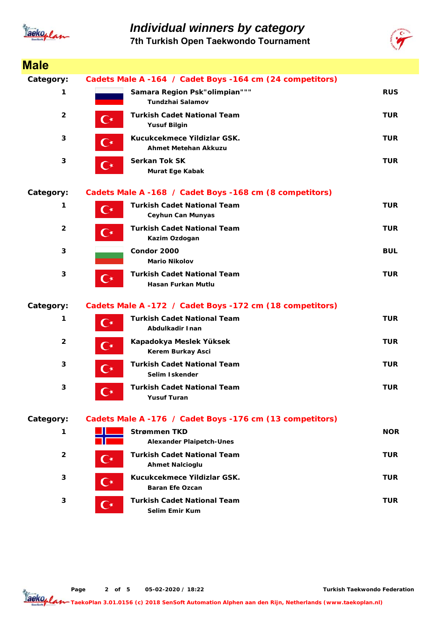

### *Individual winners by category*

**7th Turkish Open Taekwondo Tournament**



| <b>Male</b>             |                      |                                                                |            |
|-------------------------|----------------------|----------------------------------------------------------------|------------|
| Category:               |                      | Cadets Male A -164 / Cadet Boys -164 cm (24 competitors)       |            |
| 1                       |                      | Samara Region Psk"olimpian"""<br>Tundzhai Salamov              | <b>RUS</b> |
| $\overline{2}$          | С×                   | <b>Turkish Cadet National Team</b><br><b>Yusuf Bilgin</b>      | <b>TUR</b> |
| 3                       | $\mathbf{C}^{\star}$ | Kucukcekmece Yildizlar GSK.<br>Ahmet Metehan Akkuzu            | <b>TUR</b> |
| 3                       | $\mathbf{C}^\star$   | <b>Serkan Tok SK</b><br>Murat Ege Kabak                        | <b>TUR</b> |
| Category:               |                      | Cadets Male A -168 / Cadet Boys -168 cm (8 competitors)        |            |
| 1                       | $\mathbf{C}^{\star}$ | <b>Turkish Cadet National Team</b><br><b>Ceyhun Can Munyas</b> | <b>TUR</b> |
| $\overline{2}$          | $\mathbf{C}^\star$   | <b>Turkish Cadet National Team</b><br>Kazim Ozdogan            | <b>TUR</b> |
| 3                       |                      | Condor 2000<br><b>Mario Nikolov</b>                            | <b>BUL</b> |
| 3                       | $\mathbf{C}^{\star}$ | <b>Turkish Cadet National Team</b><br>Hasan Furkan Mutlu       | <b>TUR</b> |
| Category:               |                      | Cadets Male A -172 / Cadet Boys -172 cm (18 competitors)       |            |
| 1                       | $\mathsf{C}^\star$   | <b>Turkish Cadet National Team</b><br>Abdulkadir Inan          | <b>TUR</b> |
| $\overline{\mathbf{2}}$ | C∗                   | Kapadokya Meslek Yüksek<br>Kerem Burkay Asci                   | <b>TUR</b> |
| 3                       | C∗                   | <b>Turkish Cadet National Team</b><br>Selim Iskender           | <b>TUR</b> |
| 3                       | ⊆∗                   | <b>Turkish Cadet National Team</b><br><b>Yusuf Turan</b>       | <b>TUR</b> |
| Category:               |                      | Cadets Male A -176 / Cadet Boys -176 cm (13 competitors)       |            |
| 1                       |                      | <b>Strømmen TKD</b><br><b>Alexander Plaipetch-Unes</b>         | <b>NOR</b> |
| $\overline{2}$          | $\mathbb{C}^*$       | <b>Turkish Cadet National Team</b><br><b>Ahmet Nalcioglu</b>   | <b>TUR</b> |
| 3                       | (  ∗                 | Kucukcekmece Yildizlar GSK.<br><b>Baran Efe Ozcan</b>          | <b>TUR</b> |
| 3                       | C*                   | Turkish Cadet National Team<br>Selim Emir Kum                  | TUR        |

**Page o 2 f 5 05-02-2020 / 18:22**

**Turkish Taekwondo Federation**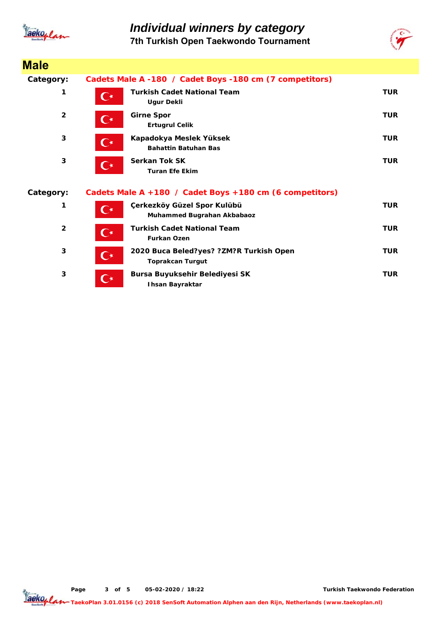

**Male**

# *Individual winners by category*

**7th Turkish Open Taekwondo Tournament**



| סוטוס          |                      |                                                                    |            |
|----------------|----------------------|--------------------------------------------------------------------|------------|
| Category:      |                      | Cadets Male A -180 / Cadet Boys -180 cm (7 competitors)            |            |
| 1              | $\mathbf{C}^\star$   | <b>Turkish Cadet National Team</b><br><b>Ugur Dekli</b>            | <b>TUR</b> |
| $\overline{2}$ | $\mathbf{C}^{\star}$ | <b>Girne Spor</b><br><b>Ertugrul Celik</b>                         | <b>TUR</b> |
| 3              | $\mathbf{C}^{\star}$ | Kapadokya Meslek Yüksek<br><b>Bahattin Batuhan Bas</b>             | <b>TUR</b> |
| 3              | $\mathbf{C}^*$       | <b>Serkan Tok SK</b><br><b>Turan Efe Ekim</b>                      | <b>TUR</b> |
| Category:      |                      | Cadets Male A +180 / Cadet Boys +180 cm (6 competitors)            |            |
| 1              | $\mathsf{C}^\star$   | Çerkezköy Güzel Spor Kulübü<br>Muhammed Bugrahan Akbabaoz          | <b>TUR</b> |
| $\overline{2}$ | $\mathbf{C}^{\star}$ | <b>Turkish Cadet National Team</b><br><b>Furkan Ozen</b>           | <b>TUR</b> |
| 3              | $\mathbf{C}^{\star}$ | 2020 Buca Beled?yes? ?ZM?R Turkish Open<br><b>Toprakcan Turgut</b> | <b>TUR</b> |
| 3              | ⌒∗                   | Bursa Buyuksehir Belediyesi SK<br><b>Ihsan Bayraktar</b>           | <b>TUR</b> |
|                |                      |                                                                    |            |

**Page o 3 f 5 05-02-2020 / 18:22**

**Turkish Taekwondo Federation**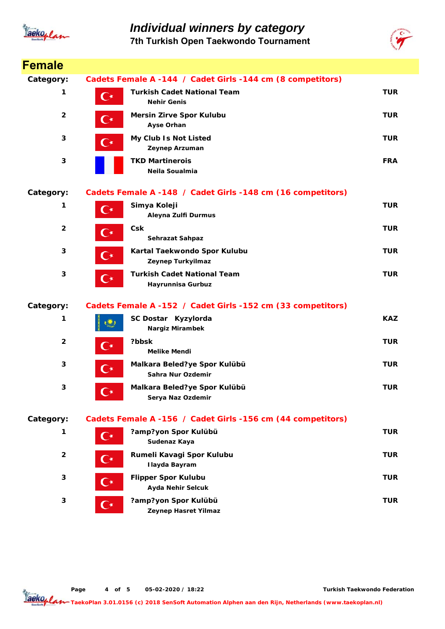

### *Individual winners by category* **7th Turkish Open Taekwondo Tournament**



| Female         |                      |                                                             |            |
|----------------|----------------------|-------------------------------------------------------------|------------|
| Category:      |                      | Cadets Female A -144 / Cadet Girls -144 cm (8 competitors)  |            |
| 1              | С∗                   | <b>Turkish Cadet National Team</b><br><b>Nehir Genis</b>    | <b>TUR</b> |
| $\overline{2}$ | $\mathbf{C}^\star$   | <b>Mersin Zirve Spor Kulubu</b><br>Ayse Orhan               | <b>TUR</b> |
| 3              | C∗                   | My Club Is Not Listed<br>Zeynep Arzuman                     | <b>TUR</b> |
| 3              |                      | <b>TKD Martinerois</b><br>Neila Soualmia                    | <b>FRA</b> |
| Category:      |                      | Cadets Female A -148 / Cadet Girls -148 cm (16 competitors) |            |
| 1              | $\mathbf{C}^{\star}$ | Simya Koleji<br>Aleyna Zulfi Durmus                         | <b>TUR</b> |
| $\overline{2}$ | C∗                   | Csk<br>Sehrazat Sahpaz                                      | <b>TUR</b> |
| 3              | $\mathbf{C}^\star$   | Kartal Taekwondo Spor Kulubu<br>Zeynep Turkyilmaz           | <b>TUR</b> |
| 3              | $\mathbf{C}^{\star}$ | <b>Turkish Cadet National Team</b><br>Hayrunnisa Gurbuz     | <b>TUR</b> |
| Category:      |                      | Cadets Female A -152 / Cadet Girls -152 cm (33 competitors) |            |
| 1              |                      | SC Dostar Kyzylorda<br>Nargiz Mirambek                      | <b>KAZ</b> |
| $\overline{2}$ | $\mathbf{C}^{\star}$ | ?bbsk<br><b>Melike Mendi</b>                                | <b>TUR</b> |
| $\mathbf{3}$   | $\mathbf{C}^{\star}$ | Malkara Beled?ye Spor Kulübü<br>Sahra Nur Ozdemir           | <b>TUR</b> |
| 3              | $\mathbf{C}^{\star}$ | Malkara Beled?ye Spor Kulübü<br>Serya Naz Ozdemir           | <b>TUR</b> |
| Category:      |                      | Cadets Female A -156 / Cadet Girls -156 cm (44 competitors) |            |
| 1              | $\mathbf{C}^\star$   | ?amp?yon Spor Kulübü<br>Sudenaz Kaya                        | <b>TUR</b> |
| $\overline{2}$ | $\mathbf{C}^{\star}$ | Rumeli Kavagi Spor Kulubu<br><b>Ilayda Bayram</b>           | <b>TUR</b> |
| 3              | 〔⊀                   | <b>Flipper Spor Kulubu</b><br><b>Ayda Nehir Selcuk</b>      | <b>TUR</b> |
| 3              | $\mathbf{C}^{\star}$ | ?amp?yon Spor Kulübü<br>Zeynep Hasret Yilmaz                | <b>TUR</b> |

**Page o 4 f 5 05-02-2020 / 18:22**

**Turkish Taekwondo Federation**